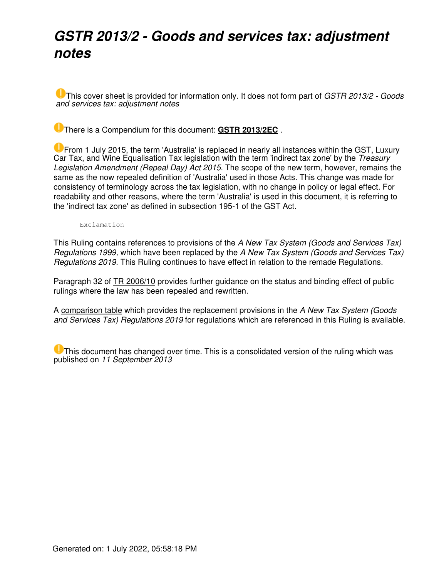## *GSTR 2013/2 - Goods and services tax: adjustment notes*

This cover sheet is provided for information only. It does not form part of *GSTR 2013/2 - Goods and services tax: adjustment notes*

There is a Compendium for this document: **[GSTR 2013/2EC](https://www.ato.gov.au/law/view/document?LocID=%22CGR%2FGSTR2013EC2%2FNAT%2FATO%2F00001%22&PiT=20140430000001)** .

**U** From 1 July 2015, the term 'Australia' is replaced in nearly all instances within the GST, Luxury Car Tax, and Wine Equalisation Tax legislation with the term 'indirect tax zone' by the *Treasury Legislation Amendment (Repeal Day) Act 2015*. The scope of the new term, however, remains the same as the now repealed definition of 'Australia' used in those Acts. This change was made for consistency of terminology across the tax legislation, with no change in policy or legal effect. For readability and other reasons, where the term 'Australia' is used in this document, it is referring to the 'indirect tax zone' as defined in subsection 195-1 of the GST Act.

Exclamation

This Ruling contains references to provisions of the *A New Tax System (Goods and Services Tax) Regulations 1999,* which have been replaced by the *A New Tax System (Goods and Services Tax) Regulations 2019.* This Ruling continues to have effect in relation to the remade Regulations.

Paragraph 32 of [TR 2006/10](https://www.ato.gov.au/law/view/document?LocID=%22TXR%2FTR200610%2FNAT%2FATO%22&PiT=20140430000001) provides further guidance on the status and binding effect of public rulings where the law has been repealed and rewritten.

A [comparison table](https://www.ato.gov.au/law/view/document?LocID=%22%20GXR%2Ffind_regs%22&PiT=20140430000001) which provides the replacement provisions in the *A New Tax System (Goods and Services Tax) Regulations 2019* for regulations which are referenced in this Ruling is available.

**U** This document has changed over time. This is a consolidated version of the ruling which was published on *11 September 2013*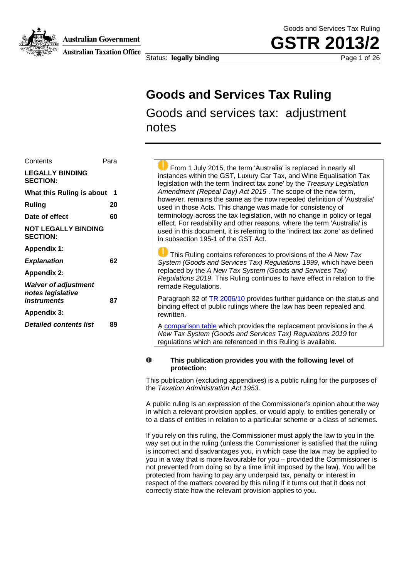**Australian Government** 



**Australian Taxation Office** 

Status: **legally binding** extending the page 1 of 26

Goods and Services Tax Ruling **GSTR 201** 

## **Goods and Services Tax Ruling**

Goods and services tax: adjustment notes

| Contents                                                        | Para |
|-----------------------------------------------------------------|------|
| <b>LEGALLY BINDING</b><br><b>SECTION:</b>                       |      |
| What this Ruling is about                                       | 1    |
| Ruling                                                          | 20   |
| Date of effect                                                  | 60   |
| <b>NOT LEGALLY BINDING</b><br><b>SECTION:</b>                   |      |
| <b>Appendix 1:</b>                                              |      |
| <b>Explanation</b>                                              | 62   |
| <b>Appendix 2:</b>                                              |      |
| <b>Waiver of adjustment</b><br>notes legislative<br>instruments | 87   |
| <b>Appendix 3:</b>                                              |      |
| <b>Detailed contents list</b>                                   | 89   |

 From 1 July 2015, the term 'Australia' is replaced in nearly all instances within the GST, Luxury Car Tax, and Wine Equalisation Tax legislation with the term 'indirect tax zone' by the *Treasury Legislation Amendment (Repeal Day) Act 2015* . The scope of the new term, however, remains the same as the now repealed definition of 'Australia' used in those Acts. This change was made for consistency of terminology across the tax legislation, with no change in policy or legal effect. For readability and other reasons, where the term 'Australia' is used in this document, it is referring to the 'indirect tax zone' as defined in subsection 195-1 of the GST Act.

 This Ruling contains references to provisions of the *A New Tax System (Goods and Services Tax) Regulations 1999*, which have been replaced by the *A New Tax System (Goods and Services Tax) Regulations 2019*. This Ruling continues to have effect in relation to the remade Regulations.

Paragraph 32 of TR 2006/10 provides further guidance on the status and binding effect of public rulings where the law has been repealed and rewritten.

A comparison table which provides the replacement provisions in the *A New Tax System (Goods and Services Tax) Regulations 2019* for regulations which are referenced in this Ruling is available.

#### O **This publication provides you with the following level of protection:**

This publication (excluding appendixes) is a public ruling for the purposes of the *Taxation Administration Act 1953*.

A public ruling is an expression of the Commissioner's opinion about the way in which a relevant provision applies, or would apply, to entities generally or to a class of entities in relation to a particular scheme or a class of schemes.

If you rely on this ruling, the Commissioner must apply the law to you in the way set out in the ruling (unless the Commissioner is satisfied that the ruling is incorrect and disadvantages you, in which case the law may be applied to you in a way that is more favourable for you – provided the Commissioner is not prevented from doing so by a time limit imposed by the law). You will be protected from having to pay any underpaid tax, penalty or interest in respect of the matters covered by this ruling if it turns out that it does not correctly state how the relevant provision applies to you.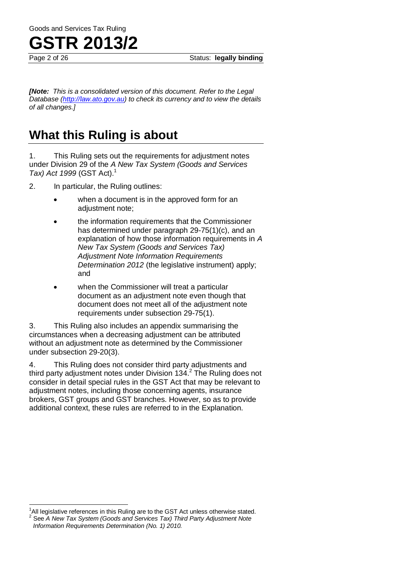Page 2 of 26 Status: legally binding **Page 2 of 26** 

*[Note: This is a consolidated version of this document. Refer to the Legal Database (http://law.ato.gov.au) to check its currency and to view the details of all changes.]*

## **What this Ruling is about**

1. This Ruling sets out the requirements for adjustment notes under Division 29 of the *A New Tax System (Goods and Services Tax) Act 1999* (GST Act).<sup>1</sup>

2. In particular, the Ruling outlines:

- when a document is in the approved form for an adjustment note;
- the information requirements that the Commissioner has determined under paragraph 29-75(1)(c), and an explanation of how those information requirements in *A New Tax System (Goods and Services Tax) Adjustment Note Information Requirements Determination 2012* (the legislative instrument) apply; and
- when the Commissioner will treat a particular document as an adjustment note even though that document does not meet all of the adjustment note requirements under subsection 29-75(1).

3. This Ruling also includes an appendix summarising the circumstances when a decreasing adjustment can be attributed without an adjustment note as determined by the Commissioner under subsection 29-20(3).

4. This Ruling does not consider third party adjustments and third party adjustment notes under Division 134. $2$  The Ruling does not consider in detail special rules in the GST Act that may be relevant to adjustment notes, including those concerning agents, insurance brokers, GST groups and GST branches. However, so as to provide additional context, these rules are referred to in the Explanation.

 $\overline{a}$  $<sup>1</sup>$ All legislative references in this Ruling are to the GST Act unless otherwise stated.</sup> 2 See *A New Tax System (Goods and Services Tax) Third Party Adjustment Note Information Requirements Determination (No. 1) 2010.*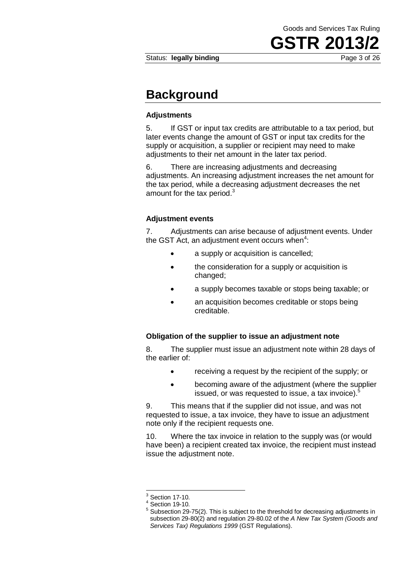### **Background**

#### **Adjustments**

5. If GST or input tax credits are attributable to a tax period, but later events change the amount of GST or input tax credits for the supply or acquisition, a supplier or recipient may need to make adjustments to their net amount in the later tax period.

6. There are increasing adjustments and decreasing adjustments. An increasing adjustment increases the net amount for the tax period, while a decreasing adjustment decreases the net amount for the tax period. $3$ 

#### **Adjustment events**

7. Adjustments can arise because of adjustment events. Under the GST Act, an adjustment event occurs when $4$ :

- a supply or acquisition is cancelled;
- the consideration for a supply or acquisition is changed;
- a supply becomes taxable or stops being taxable; or
- an acquisition becomes creditable or stops being creditable.

#### **Obligation of the supplier to issue an adjustment note**

8. The supplier must issue an adjustment note within 28 days of the earlier of:

- receiving a request by the recipient of the supply; or
- becoming aware of the adjustment (where the supplier issued, or was requested to issue, a tax invoice).<sup>5</sup>

9. This means that if the supplier did not issue, and was not requested to issue, a tax invoice, they have to issue an adjustment note only if the recipient requests one.

10. Where the tax invoice in relation to the supply was (or would have been) a recipient created tax invoice, the recipient must instead issue the adjustment note.

1

<sup>3</sup> Section 17-10.

<sup>4</sup> Section 19-10.

<sup>5</sup> Subsection 29-75(2). This is subject to the threshold for decreasing adjustments in subsection 29-80(2) and regulation 29-80.02 of the *A New Tax System (Goods and Services Tax) Regulations 1999* (GST Regulations).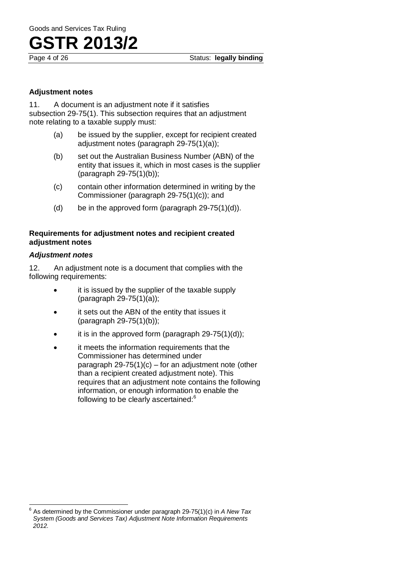#### **Adjustment notes**

11. A document is an adjustment note if it satisfies subsection 29-75(1). This subsection requires that an adjustment note relating to a taxable supply must:

- (a) be issued by the supplier, except for recipient created adjustment notes (paragraph 29-75(1)(a));
- (b) set out the Australian Business Number (ABN) of the entity that issues it, which in most cases is the supplier (paragraph 29-75(1)(b));
- (c) contain other information determined in writing by the Commissioner (paragraph 29-75(1)(c)); and
- (d) be in the approved form (paragraph  $29-75(1)(d)$ ).

#### **Requirements for adjustment notes and recipient created adjustment notes**

#### *Adjustment notes*

12. An adjustment note is a document that complies with the following requirements:

- it is issued by the supplier of the taxable supply (paragraph 29-75(1)(a));
- it sets out the ABN of the entity that issues it (paragraph 29-75(1)(b));
- it is in the approved form (paragraph 29-75(1)(d));
- it meets the information requirements that the Commissioner has determined under paragraph 29-75(1)(c) – for an adjustment note (other than a recipient created adjustment note). This requires that an adjustment note contains the following information, or enough information to enable the following to be clearly ascertained:<sup>6</sup>

 6 As determined by the Commissioner under paragraph 29-75(1)(c) in *A New Tax System (Goods and Services Tax) Adjustment Note Information Requirements 2012.*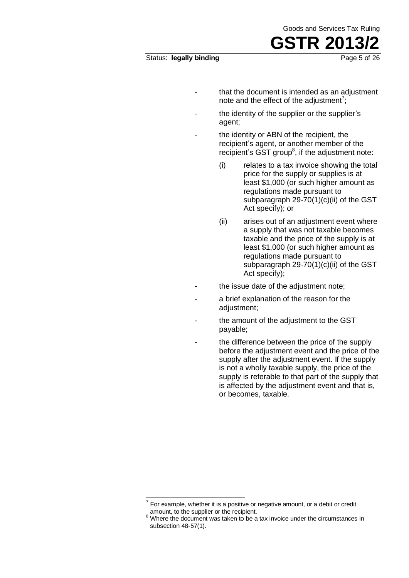- that the document is intended as an adjustment note and the effect of the adjustment<sup>7</sup>;
- the identity of the supplier or the supplier's agent;
- the identity or ABN of the recipient, the recipient's agent, or another member of the recipient's  $\overline{SST}$  group<sup>8</sup>, if the adjustment note:
	- (i) relates to a tax invoice showing the total price for the supply or supplies is at least \$1,000 (or such higher amount as regulations made pursuant to subparagraph 29-70(1)(c)(ii) of the GST Act specify); or
	- (ii) arises out of an adjustment event where a supply that was not taxable becomes taxable and the price of the supply is at least \$1,000 (or such higher amount as regulations made pursuant to subparagraph 29-70(1)(c)(ii) of the GST Act specify);
- the issue date of the adjustment note;
- a brief explanation of the reason for the adjustment;
- the amount of the adjustment to the GST payable;
	- the difference between the price of the supply before the adjustment event and the price of the supply after the adjustment event. If the supply is not a wholly taxable supply, the price of the supply is referable to that part of the supply that is affected by the adjustment event and that is, or becomes, taxable.

<sup>————————————————————&</sup>lt;br><sup>7</sup> For example, whether it is a positive or negative amount, or a debit or credit amount, to the supplier or the recipient.

<sup>&</sup>lt;sup>8</sup> Where the document was taken to be a tax invoice under the circumstances in subsection 48-57(1).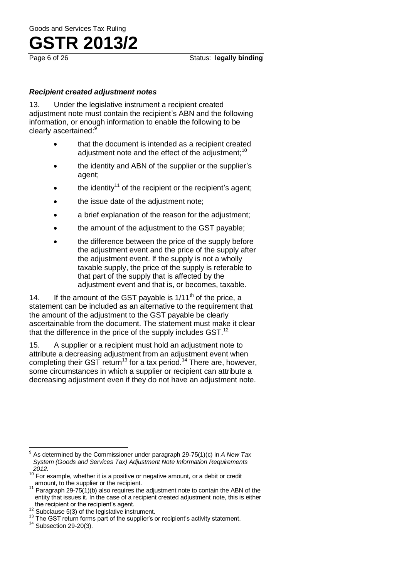#### *Recipient created adjustment notes*

13. Under the legislative instrument a recipient created adjustment note must contain the recipient's ABN and the following information, or enough information to enable the following to be clearly ascertained:<sup>9</sup>

- that the document is intended as a recipient created adjustment note and the effect of the adjustment;  $10<sup>10</sup>$
- the identity and ABN of the supplier or the supplier's agent;
- the identity<sup>11</sup> of the recipient or the recipient's agent;
- the issue date of the adjustment note;
- a brief explanation of the reason for the adjustment;
- the amount of the adjustment to the GST payable;
- the difference between the price of the supply before the adjustment event and the price of the supply after the adjustment event. If the supply is not a wholly taxable supply, the price of the supply is referable to that part of the supply that is affected by the adjustment event and that is, or becomes, taxable.

14. If the amount of the GST payable is  $1/11<sup>th</sup>$  of the price, a statement can be included as an alternative to the requirement that the amount of the adjustment to the GST payable be clearly ascertainable from the document. The statement must make it clear that the difference in the price of the supply includes  $GST<sup>12</sup>$ 

15. A supplier or a recipient must hold an adjustment note to attribute a decreasing adjustment from an adjustment event when completing their GST return<sup>13</sup> for a tax period.<sup>14</sup> There are, however, some circumstances in which a supplier or recipient can attribute a decreasing adjustment even if they do not have an adjustment note.

 9 As determined by the Commissioner under paragraph 29-75(1)(c) in *A New Tax System (Goods and Services Tax) Adjustment Note Information Requirements 2012.*

 $10^{10}$  For example, whether it is a positive or negative amount, or a debit or credit amount, to the supplier or the recipient.

 $11$  Paragraph 29-75(1)(b) also requires the adjustment note to contain the ABN of the entity that issues it. In the case of a recipient created adjustment note, this is either the recipient or the recipient's agent.

<sup>12</sup> Subclause  $5(3)$  of the legislative instrument.

<sup>&</sup>lt;sup>13</sup> The GST return forms part of the supplier's or recipient's activity statement.

 $14$  Subsection 29-20(3).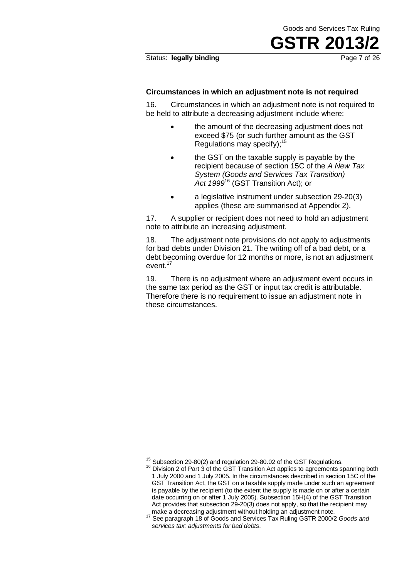#### Status: **legally binding** extending Page 7 of 26

#### **Circumstances in which an adjustment note is not required**

16. Circumstances in which an adjustment note is not required to be held to attribute a decreasing adjustment include where:

- the amount of the decreasing adjustment does not exceed \$75 (or such further amount as the GST Regulations may specify); $15$
- the GST on the taxable supply is payable by the recipient because of section 15C of the *A New Tax System (Goods and Services Tax Transition) Act 1999*<sup>16</sup> (GST Transition Act); or
- a legislative instrument under subsection 29-20(3) applies (these are summarised at Appendix 2).

17. A supplier or recipient does not need to hold an adjustment note to attribute an increasing adjustment.

18. The adjustment note provisions do not apply to adjustments for bad debts under Division 21. The writing off of a bad debt, or a debt becoming overdue for 12 months or more, is not an adjustment event.<sup>17</sup>

19. There is no adjustment where an adjustment event occurs in the same tax period as the GST or input tax credit is attributable. Therefore there is no requirement to issue an adjustment note in these circumstances.

 $\overline{\phantom{a}}$ 

 $15$  Subsection 29-80(2) and regulation 29-80.02 of the GST Regulations.

 $16$  Division 2 of Part  $3$  of the GST Transition Act applies to agreements spanning both 1 July 2000 and 1 July 2005. In the circumstances described in section 15C of the GST Transition Act, the GST on a taxable supply made under such an agreement is payable by the recipient (to the extent the supply is made on or after a certain date occurring on or after 1 July 2005). Subsection 15H(4) of the GST Transition Act provides that subsection 29-20(3) does not apply, so that the recipient may

make a decreasing adjustment without holding an adjustment note. <sup>17</sup> See paragraph 18 of Goods and Services Tax Ruling GSTR 2000/2 *Goods and services tax: adjustments for bad debts*.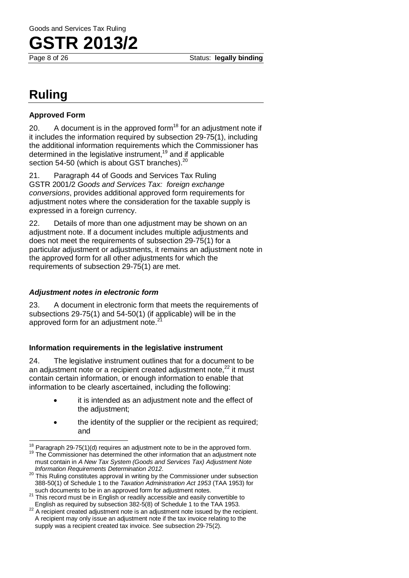

Page 8 of 26 Status: **legally binding** 

## **Ruling**

#### **Approved Form**

20. A document is in the approved form $18$  for an adjustment note if it includes the information required by subsection 29-75(1), including the additional information requirements which the Commissioner has determined in the legislative instrument,<sup>19</sup> and if applicable section 54-50 (which is about GST branches).<sup>20</sup>

21. Paragraph 44 of Goods and Services Tax Ruling GSTR 2001/2 *Goods and Services Tax: foreign exchange conversions*, provides additional approved form requirements for adjustment notes where the consideration for the taxable supply is expressed in a foreign currency.

22. Details of more than one adjustment may be shown on an adjustment note. If a document includes multiple adjustments and does not meet the requirements of subsection 29-75(1) for a particular adjustment or adjustments, it remains an adjustment note in the approved form for all other adjustments for which the requirements of subsection 29-75(1) are met.

#### *Adjustment notes in electronic form*

23. A document in electronic form that meets the requirements of subsections 29-75(1) and 54-50(1) (if applicable) will be in the approved form for an adjustment note. $2<sup>2</sup>$ 

#### **Information requirements in the legislative instrument**

24. The legislative instrument outlines that for a document to be an adjustment note or a recipient created adjustment note. $^{22}$  it must contain certain information, or enough information to enable that information to be clearly ascertained, including the following:

- it is intended as an adjustment note and the effect of the adjustment;
- the identity of the supplier or the recipient as required; and

  $18$  Paragraph 29-75(1)(d) requires an adjustment note to be in the approved form.

The Commissioner has determined the other information that an adjustment note must contain in *A New Tax System (Goods and Services Tax) Adjustment Note Information Requirements Determination 2012*.

<sup>&</sup>lt;sup>20</sup> This Ruling constitutes approval in writing by the Commissioner under subsection 388-50(1) of Schedule 1 to the *Taxation Administration Act 1953* (TAA 1953) for such documents to be in an approved form for adjustment notes.

<sup>&</sup>lt;sup>21</sup> This record must be in English or readily accessible and easily convertible to English as required by subsection 382-5(8) of Schedule 1 to the TAA 1953.

<sup>&</sup>lt;sup>22</sup> A recipient created adjustment note is an adjustment note issued by the recipient. A recipient may only issue an adjustment note if the tax invoice relating to the supply was a recipient created tax invoice. See subsection 29-75(2).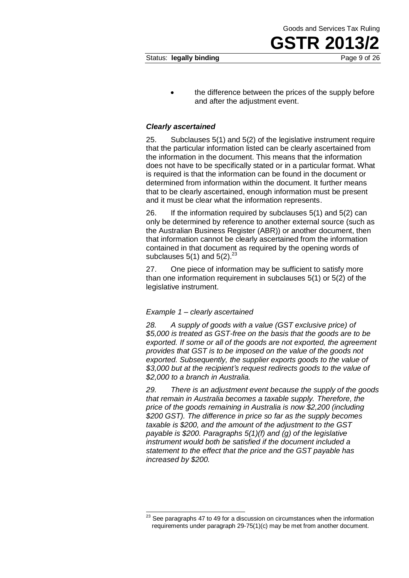the difference between the prices of the supply before and after the adjustment event.

#### *Clearly ascertained*

25. Subclauses 5(1) and 5(2) of the legislative instrument require that the particular information listed can be clearly ascertained from the information in the document. This means that the information does not have to be specifically stated or in a particular format. What is required is that the information can be found in the document or determined from information within the document. It further means that to be clearly ascertained, enough information must be present and it must be clear what the information represents.

26. If the information required by subclauses 5(1) and 5(2) can only be determined by reference to another external source (such as the Australian Business Register (ABR)) or another document, then that information cannot be clearly ascertained from the information contained in that document as required by the opening words of subclauses  $5(1)$  and  $5(2).^{23}$ 

27. One piece of information may be sufficient to satisfy more than one information requirement in subclauses 5(1) or 5(2) of the legislative instrument.

#### *Example 1 – clearly ascertained*

 $\overline{\phantom{a}}$ 

*28. A supply of goods with a value (GST exclusive price) of \$5,000 is treated as GST-free on the basis that the goods are to be exported. If some or all of the goods are not exported, the agreement provides that GST is to be imposed on the value of the goods not exported. Subsequently, the supplier exports goods to the value of \$3,000 but at the recipient's request redirects goods to the value of \$2,000 to a branch in Australia.* 

*29. There is an adjustment event because the supply of the goods that remain in Australia becomes a taxable supply. Therefore, the price of the goods remaining in Australia is now \$2,200 (including \$200 GST). The difference in price so far as the supply becomes taxable is \$200, and the amount of the adjustment to the GST payable is \$200. Paragraphs 5(1)(f) and (g) of the legislative instrument would both be satisfied if the document included a statement to the effect that the price and the GST payable has increased by \$200.* 

Goods and Services Tax Ruling

**GSTR 2013** 

 $^{23}$  See paragraphs 47 to 49 for a discussion on circumstances when the information requirements under paragraph 29-75(1)(c) may be met from another document.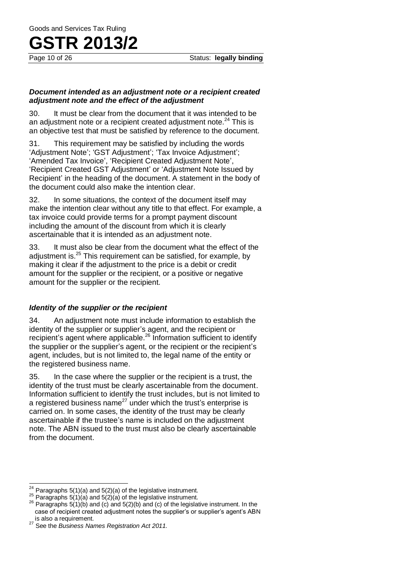#### *Document intended as an adjustment note or a recipient created adjustment note and the effect of the adjustment*

30. It must be clear from the document that it was intended to be an adjustment note or a recipient created adjustment note. $^{24}$  This is an objective test that must be satisfied by reference to the document.

31. This requirement may be satisfied by including the words 'Adjustment Note'; 'GST Adjustment'; 'Tax Invoice Adjustment'; 'Amended Tax Invoice', 'Recipient Created Adjustment Note', 'Recipient Created GST Adjustment' or 'Adjustment Note Issued by Recipient' in the heading of the document. A statement in the body of the document could also make the intention clear.

32. In some situations, the context of the document itself may make the intention clear without any title to that effect. For example, a tax invoice could provide terms for a prompt payment discount including the amount of the discount from which it is clearly ascertainable that it is intended as an adjustment note.

33. It must also be clear from the document what the effect of the adjustment is.<sup>25</sup> This requirement can be satisfied, for example, by making it clear if the adjustment to the price is a debit or credit amount for the supplier or the recipient, or a positive or negative amount for the supplier or the recipient.

#### *Identity of the supplier or the recipient*

34. An adjustment note must include information to establish the identity of the supplier or supplier's agent, and the recipient or recipient's agent where applicable.<sup>26</sup> Information sufficient to identify the supplier or the supplier's agent, or the recipient or the recipient's agent, includes, but is not limited to, the legal name of the entity or the registered business name.

35. In the case where the supplier or the recipient is a trust, the identity of the trust must be clearly ascertainable from the document. Information sufficient to identify the trust includes, but is not limited to a registered business name<sup>27</sup> under which the trust's enterprise is carried on. In some cases, the identity of the trust may be clearly ascertainable if the trustee's name is included on the adjustment note. The ABN issued to the trust must also be clearly ascertainable from the document.

 $\overline{\phantom{a}}$ <sup>24</sup> Paragraphs 5(1)(a) and 5(2)(a) of the legislative instrument.

<sup>&</sup>lt;sup>25</sup> Paragraphs 5(1)(a) and 5(2)(a) of the legislative instrument.

<sup>&</sup>lt;sup>26</sup> Paragraphs 5(1)(b) and (c) and 5(2)(b) and (c) of the legislative instrument. In the case of recipient created adjustment notes the supplier's or supplier's agent's ABN is also a requirement.

<sup>27</sup> See the *Business Names Registration Act 2011.*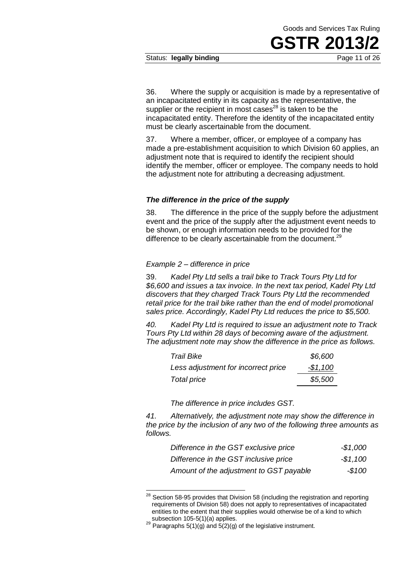#### Status: **legally binding** extending Page 11 of 26

36. Where the supply or acquisition is made by a representative of an incapacitated entity in its capacity as the representative, the supplier or the recipient in most cases $^{28}$  is taken to be the incapacitated entity. Therefore the identity of the incapacitated entity must be clearly ascertainable from the document.

37. Where a member, officer, or employee of a company has made a pre-establishment acquisition to which Division 60 applies, an adjustment note that is required to identify the recipient should identify the member, officer or employee. The company needs to hold the adjustment note for attributing a decreasing adjustment.

#### *The difference in the price of the supply*

38. The difference in the price of the supply before the adjustment event and the price of the supply after the adjustment event needs to be shown, or enough information needs to be provided for the difference to be clearly ascertainable from the document.<sup>29</sup>

#### *Example 2 – difference in price*

39. *Kadel Pty Ltd sells a trail bike to Track Tours Pty Ltd for \$6,600 and issues a tax invoice. In the next tax period, Kadel Pty Ltd discovers that they charged Track Tours Pty Ltd the recommended retail price for the trail bike rather than the end of model promotional sales price. Accordingly, Kadel Pty Ltd reduces the price to \$5,500.*

*40. Kadel Pty Ltd is required to issue an adjustment note to Track Tours Pty Ltd within 28 days of becoming aware of the adjustment. The adjustment note may show the difference in the price as follows.* 

| <b>Trail Bike</b>                   | \$6,600   |
|-------------------------------------|-----------|
| Less adjustment for incorrect price | $-$1,100$ |
| Total price                         | \$5,500   |

*The difference in price includes GST.* 

*41. Alternatively, the adjustment note may show the difference in the price by the inclusion of any two of the following three amounts as follows.* 

| Difference in the GST exclusive price   | $-$1,000$ |
|-----------------------------------------|-----------|
| Difference in the GST inclusive price   | $-$1.100$ |
| Amount of the adjustment to GST payable | $-$100$   |

 $^{28}$  Section 58-95 provides that Division 58 (including the registration and reporting requirements of Division 58) does not apply to representatives of incapacitated entities to the extent that their supplies would otherwise be of a kind to which subsection 105-5(1)(a) applies.

1

 $29$  Paragraphs  $5(1)(g)$  and  $5(2)(g)$  of the legislative instrument.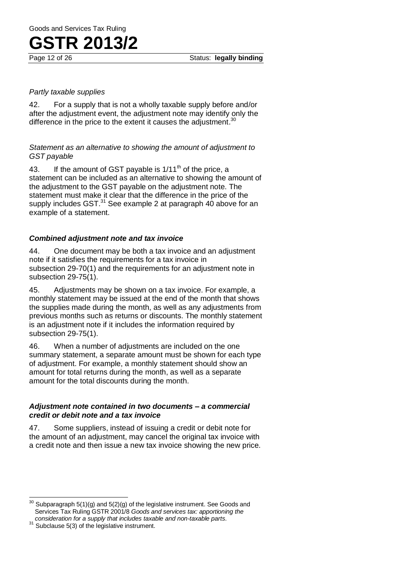#### *Partly taxable supplies*

42. For a supply that is not a wholly taxable supply before and/or after the adjustment event, the adjustment note may identify only the difference in the price to the extent it causes the adjustment. $30$ 

*Statement as an alternative to showing the amount of adjustment to GST payable* 

43. If the amount of GST payable is  $1/11^{th}$  of the price, a statement can be included as an alternative to showing the amount of the adjustment to the GST payable on the adjustment note. The statement must make it clear that the difference in the price of the supply includes GST.<sup>31</sup> See example 2 at paragraph 40 above for an example of a statement.

#### *Combined adjustment note and tax invoice*

44. One document may be both a tax invoice and an adjustment note if it satisfies the requirements for a tax invoice in subsection 29-70(1) and the requirements for an adjustment note in subsection 29-75(1).

45. Adjustments may be shown on a tax invoice. For example, a monthly statement may be issued at the end of the month that shows the supplies made during the month, as well as any adjustments from previous months such as returns or discounts. The monthly statement is an adjustment note if it includes the information required by subsection 29-75(1).

46. When a number of adjustments are included on the one summary statement, a separate amount must be shown for each type of adjustment. For example, a monthly statement should show an amount for total returns during the month, as well as a separate amount for the total discounts during the month.

#### *Adjustment note contained in two documents – a commercial credit or debit note and a tax invoice*

47. Some suppliers, instead of issuing a credit or debit note for the amount of an adjustment, may cancel the original tax invoice with a credit note and then issue a new tax invoice showing the new price.

 <sup>30</sup> Subparagraph 5(1)(g) and 5(2)(g) of the legislative instrument. See Goods and Services Tax Ruling GSTR 2001/8 *Goods and services tax: apportioning the consideration for a supply that includes taxable and non-taxable parts*.

<sup>31</sup> Subclause 5(3) of the legislative instrument.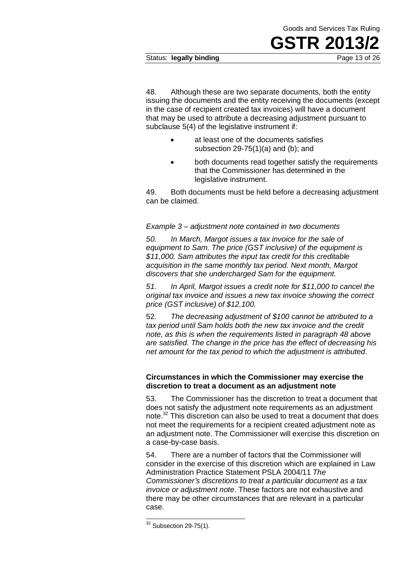#### Status: **legally binding Page 13 of 26**

48. Although these are two separate documents, both the entity issuing the documents and the entity receiving the documents (except in the case of recipient created tax invoices) will have a document that may be used to attribute a decreasing adjustment pursuant to subclause 5(4) of the legislative instrument if:

- at least one of the documents satisfies subsection 29-75(1)(a) and (b); and
- both documents read together satisfy the requirements that the Commissioner has determined in the legislative instrument.

49. Both documents must be held before a decreasing adjustment can be claimed.

#### *Example 3 – adjustment note contained in two documents*

*50. In March, Margot issues a tax invoice for the sale of equipment to Sam. The price (GST inclusive) of the equipment is \$11,000. Sam attributes the input tax credit for this creditable acquisition in the same monthly tax period. Next month, Margot discovers that she undercharged Sam for the equipment.* 

*51. In April, Margot issues a credit note for \$11,000 to cancel the original tax invoice and issues a new tax invoice showing the correct price (GST inclusive) of \$12,100.* 

52. *The decreasing adjustment of \$100 cannot be attributed to a tax period until Sam holds both the new tax invoice and the credit note, as this is when the requirements listed in paragraph 48 above are satisfied. The change in the price has the effect of decreasing his net amount for the tax period to which the adjustment is attributed.*

#### **Circumstances in which the Commissioner may exercise the discretion to treat a document as an adjustment note**

53. The Commissioner has the discretion to treat a document that does not satisfy the adjustment note requirements as an adjustment note.<sup>32</sup> This discretion can also be used to treat a document that does not meet the requirements for a recipient created adjustment note as an adjustment note. The Commissioner will exercise this discretion on a case-by-case basis.

54. There are a number of factors that the Commissioner will consider in the exercise of this discretion which are explained in Law Administration Practice Statement PSLA 2004/11 *The Commissioner's discretions to treat a particular document as a tax invoice or adjustment note*. These factors are not exhaustive and there may be other circumstances that are relevant in a particular case.

 $\overline{a}$ 

 $32$  Subsection 29-75(1).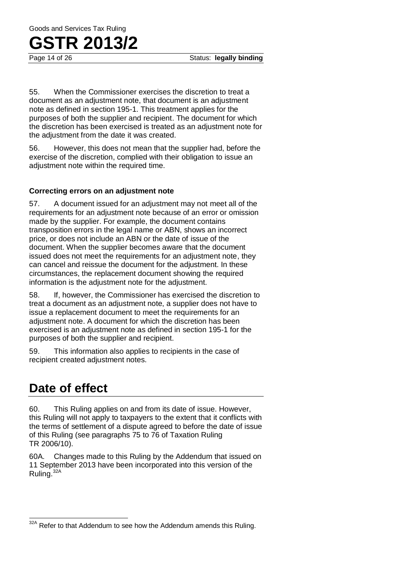55. When the Commissioner exercises the discretion to treat a document as an adjustment note, that document is an adjustment note as defined in section 195-1. This treatment applies for the purposes of both the supplier and recipient. The document for which the discretion has been exercised is treated as an adjustment note for the adjustment from the date it was created.

56. However, this does not mean that the supplier had, before the exercise of the discretion, complied with their obligation to issue an adjustment note within the required time.

#### **Correcting errors on an adjustment note**

57. A document issued for an adjustment may not meet all of the requirements for an adjustment note because of an error or omission made by the supplier. For example, the document contains transposition errors in the legal name or ABN, shows an incorrect price, or does not include an ABN or the date of issue of the document. When the supplier becomes aware that the document issued does not meet the requirements for an adjustment note, they can cancel and reissue the document for the adjustment. In these circumstances, the replacement document showing the required information is the adjustment note for the adjustment.

58. If, however, the Commissioner has exercised the discretion to treat a document as an adjustment note, a supplier does not have to issue a replacement document to meet the requirements for an adjustment note. A document for which the discretion has been exercised is an adjustment note as defined in section 195-1 for the purposes of both the supplier and recipient.

59. This information also applies to recipients in the case of recipient created adjustment notes.

## **Date of effect**

60. This Ruling applies on and from its date of issue. However, this Ruling will not apply to taxpayers to the extent that it conflicts with the terms of settlement of a dispute agreed to before the date of issue of this Ruling (see paragraphs 75 to 76 of Taxation Ruling TR 2006/10).

60A. Changes made to this Ruling by the Addendum that issued on 11 September 2013 have been incorporated into this version of the Ruling.32A

Refer to that Addendum to see how the Addendum amends this Ruling.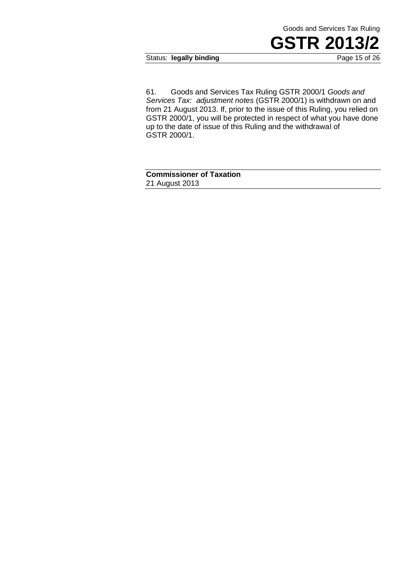Status: **legally binding** Page 15 of 26

61. Goods and Services Tax Ruling GSTR 2000/1 *Goods and Services Tax: adjustment notes* (GSTR 2000/1) is withdrawn on and from 21 August 2013. If, prior to the issue of this Ruling, you relied on GSTR 2000/1, you will be protected in respect of what you have done up to the date of issue of this Ruling and the withdrawal of GSTR 2000/1.

**Commissioner of Taxation**  21 August 2013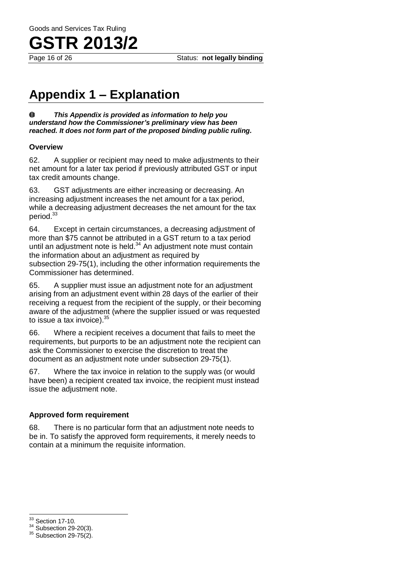

## **Appendix 1 – Explanation**

 $\mathbf 0$ *This Appendix is provided as information to help you understand how the Commissioner's preliminary view has been reached. It does not form part of the proposed binding public ruling.* 

#### **Overview**

62. A supplier or recipient may need to make adjustments to their net amount for a later tax period if previously attributed GST or input tax credit amounts change.

63. GST adjustments are either increasing or decreasing. An increasing adjustment increases the net amount for a tax period, while a decreasing adjustment decreases the net amount for the tax period.<sup>33</sup>

64. Except in certain circumstances, a decreasing adjustment of more than \$75 cannot be attributed in a GST return to a tax period until an adjustment note is held.<sup>34</sup> An adjustment note must contain the information about an adjustment as required by subsection 29-75(1), including the other information requirements the Commissioner has determined.

65. A supplier must issue an adjustment note for an adjustment arising from an adjustment event within 28 days of the earlier of their receiving a request from the recipient of the supply, or their becoming aware of the adjustment (where the supplier issued or was requested to issue a tax invoice).  $35$ 

66. Where a recipient receives a document that fails to meet the requirements, but purports to be an adjustment note the recipient can ask the Commissioner to exercise the discretion to treat the document as an adjustment note under subsection 29-75(1).

67. Where the tax invoice in relation to the supply was (or would have been) a recipient created tax invoice, the recipient must instead issue the adjustment note.

#### **Approved form requirement**

68. There is no particular form that an adjustment note needs to be in. To satisfy the approved form requirements, it merely needs to contain at a minimum the requisite information.

 $\overline{\phantom{a}}$  $33$  Section 17-10.

<sup>&</sup>lt;sup>34</sup> Subsection 29-20(3).

 $35$  Subsection 29-75(2).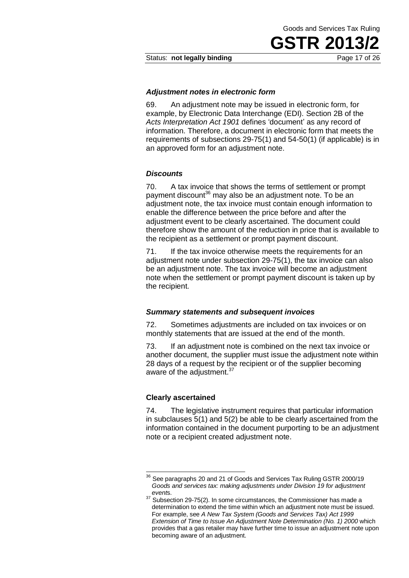Goods and Services Tax Ruling

**GSTR 201** 

#### *Adjustment notes in electronic form*

69. An adjustment note may be issued in electronic form, for example, by Electronic Data Interchange (EDI). Section 2B of the *Acts Interpretation Act 1901* defines 'document' as any record of information. Therefore, a document in electronic form that meets the requirements of subsections 29-75(1) and 54-50(1) (if applicable) is in an approved form for an adjustment note.

#### *Discounts*

70. A tax invoice that shows the terms of settlement or prompt payment discount<sup>36</sup> may also be an adjustment note. To be an adjustment note, the tax invoice must contain enough information to enable the difference between the price before and after the adjustment event to be clearly ascertained. The document could therefore show the amount of the reduction in price that is available to the recipient as a settlement or prompt payment discount.

71. If the tax invoice otherwise meets the requirements for an adjustment note under subsection 29-75(1), the tax invoice can also be an adjustment note. The tax invoice will become an adjustment note when the settlement or prompt payment discount is taken up by the recipient.

#### *Summary statements and subsequent invoices*

72. Sometimes adjustments are included on tax invoices or on monthly statements that are issued at the end of the month.

73. If an adjustment note is combined on the next tax invoice or another document, the supplier must issue the adjustment note within 28 days of a request by the recipient or of the supplier becoming aware of the adjustment.<sup>37</sup>

#### **Clearly ascertained**

1

74. The legislative instrument requires that particular information in subclauses 5(1) and 5(2) be able to be clearly ascertained from the information contained in the document purporting to be an adjustment note or a recipient created adjustment note.

 $36$  See paragraphs 20 and 21 of Goods and Services Tax Ruling GSTR 2000/19 *Goods and services tax: making adjustments under Division 19 for adjustment event*s.

<sup>&</sup>lt;sup>37</sup> Subsection 29-75(2). In some circumstances, the Commissioner has made a determination to extend the time within which an adjustment note must be issued. For example, see *A New Tax System (Goods and Services Tax) Act 1999 Extension of Time to Issue An Adjustment Note Determination (No. 1) 2000* which provides that a gas retailer may have further time to issue an adjustment note upon becoming aware of an adjustment.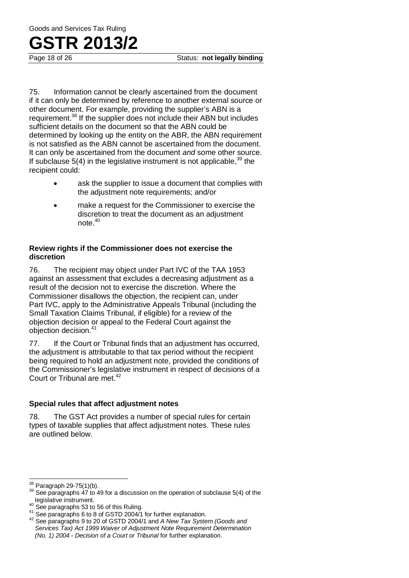75. Information cannot be clearly ascertained from the document if it can only be determined by reference to another external source or other document. For example, providing the supplier's ABN is a requirement.<sup>38</sup> If the supplier does not include their ABN but includes sufficient details on the document so that the ABN could be determined by looking up the entity on the ABR, the ABN requirement is not satisfied as the ABN cannot be ascertained from the document. It can only be ascertained from the document *and* some other source. If subclause  $5(4)$  in the legislative instrument is not applicable,<sup>39</sup> the recipient could:

- ask the supplier to issue a document that complies with the adjustment note requirements; and/or
- make a request for the Commissioner to exercise the discretion to treat the document as an adjustment note.<sup>40</sup>

#### **Review rights if the Commissioner does not exercise the discretion**

76. The recipient may object under Part IVC of the TAA 1953 against an assessment that excludes a decreasing adjustment as a result of the decision not to exercise the discretion. Where the Commissioner disallows the objection, the recipient can, under Part IVC, apply to the Administrative Appeals Tribunal (including the Small Taxation Claims Tribunal, if eligible) for a review of the objection decision or appeal to the Federal Court against the objection decision.<sup>41</sup>

77. If the Court or Tribunal finds that an adjustment has occurred, the adjustment is attributable to that tax period without the recipient being required to hold an adjustment note, provided the conditions of the Commissioner's legislative instrument in respect of decisions of a Court or Tribunal are met.<sup>42</sup>

#### **Special rules that affect adjustment notes**

78. The GST Act provides a number of special rules for certain types of taxable supplies that affect adjustment notes. These rules are outlined below.

 $\overline{\phantom{a}}$ 

Paragraph 29-75(1)(b).

 $39$  See paragraphs  $47$  to 49 for a discussion on the operation of subclause 5(4) of the legislative instrument.

<sup>40</sup> See paragraphs 53 to 56 of this Ruling.

<sup>41</sup> See paragraphs 6 to 8 of GSTD 2004/1 for further explanation.

<sup>42</sup> See paragraphs 9 to 20 of GSTD 2004/1 and *A New Tax System (Goods and Services Tax) Act 1999 Waiver of Adjustment Note Requirement Determination (No. 1) 2004 - Decision of a Court or Tribunal* for further explanation.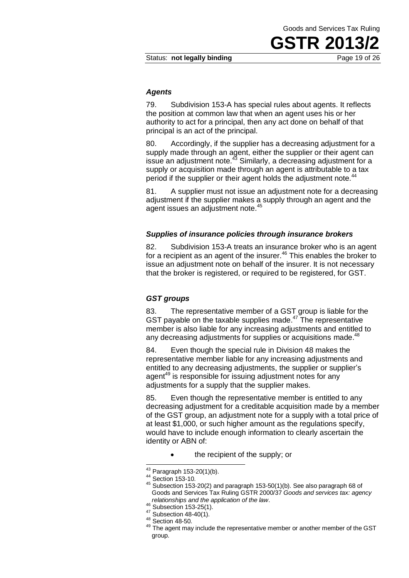#### *Agents*

79. Subdivision 153-A has special rules about agents. It reflects the position at common law that when an agent uses his or her authority to act for a principal, then any act done on behalf of that principal is an act of the principal.

80. Accordingly, if the supplier has a decreasing adjustment for a supply made through an agent, either the supplier or their agent can issue an adjustment note.<sup>43</sup> Similarly, a decreasing adjustment for a supply or acquisition made through an agent is attributable to a tax period if the supplier or their agent holds the adjustment note.<sup>44</sup>

81. A supplier must not issue an adjustment note for a decreasing adjustment if the supplier makes a supply through an agent and the agent issues an adjustment note.<sup>45</sup>

#### *Supplies of insurance policies through insurance brokers*

82. Subdivision 153-A treats an insurance broker who is an agent for a recipient as an agent of the insurer. $46$  This enables the broker to issue an adjustment note on behalf of the insurer. It is not necessary that the broker is registered, or required to be registered, for GST.

#### *GST groups*

83. The representative member of a GST group is liable for the GST payable on the taxable supplies made.<sup>47</sup> The representative member is also liable for any increasing adjustments and entitled to any decreasing adjustments for supplies or acquisitions made.<sup>48</sup>

84. Even though the special rule in Division 48 makes the representative member liable for any increasing adjustments and entitled to any decreasing adjustments, the supplier or supplier's agent<sup>49</sup> is responsible for issuing adjustment notes for any adjustments for a supply that the supplier makes.

85. Even though the representative member is entitled to any decreasing adjustment for a creditable acquisition made by a member of the GST group, an adjustment note for a supply with a total price of at least \$1,000, or such higher amount as the regulations specify, would have to include enough information to clearly ascertain the identity or ABN of:

the recipient of the supply; or

 $\overline{a}$ 

 $43$  Paragraph 153-20(1)(b).

<sup>44</sup> Section 153-10.

<sup>45</sup> Subsection 153-20(2) and paragraph 153-50(1)(b). See also paragraph 68 of Goods and Services Tax Ruling GSTR 2000/37 *Goods and services tax: agency relationships and the application of the law*.

 $46$  Subsection 153-25(1).

<sup>47</sup> Subsection 48-40(1).

<sup>48</sup> Section 48-50.

<sup>&</sup>lt;sup>49</sup> The agent may include the representative member or another member of the GST group.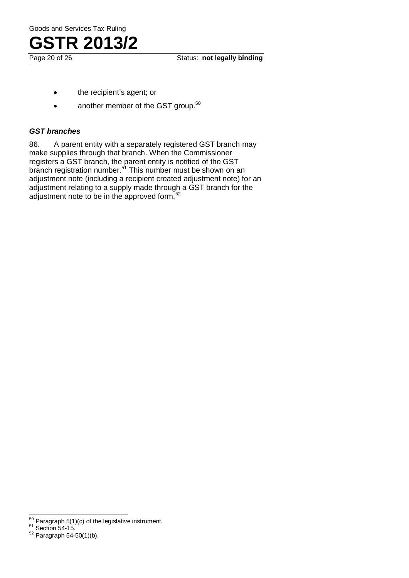

Page 20 of 26 Status: **not legally binding** 

- the recipient's agent; or
- another member of the GST group.<sup>50</sup>

#### *GST branches*

86. A parent entity with a separately registered GST branch may make supplies through that branch. When the Commissioner registers a GST branch, the parent entity is notified of the GST branch registration number.<sup>51</sup> This number must be shown on an adjustment note (including a recipient created adjustment note) for an adjustment relating to a supply made through a GST branch for the adjustment note to be in the approved form.<sup>52</sup>

 $\overline{a}$  $50$  Paragraph 5(1)(c) of the legislative instrument.

 $51$  Section 54-15.

 $52$  Paragraph 54-50(1)(b).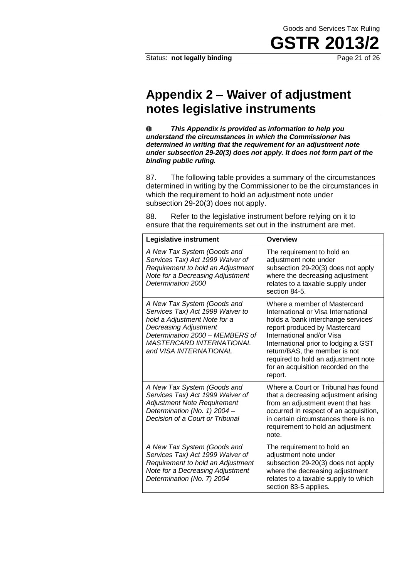## **Appendix 2 – Waiver of adjustment notes legislative instruments**

 $\bf 0$ *This Appendix is provided as information to help you understand the circumstances in which the Commissioner has determined in writing that the requirement for an adjustment note under subsection 29-20(3) does not apply. It does not form part of the binding public ruling.* 

87. The following table provides a summary of the circumstances determined in writing by the Commissioner to be the circumstances in which the requirement to hold an adjustment note under subsection 29-20(3) does not apply.

88. Refer to the legislative instrument before relying on it to ensure that the requirements set out in the instrument are met.

| Legislative instrument                                                                                                                                                                                                          | <b>Overview</b>                                                                                                                                                                                                                                                                                                                           |
|---------------------------------------------------------------------------------------------------------------------------------------------------------------------------------------------------------------------------------|-------------------------------------------------------------------------------------------------------------------------------------------------------------------------------------------------------------------------------------------------------------------------------------------------------------------------------------------|
| A New Tax System (Goods and<br>Services Tax) Act 1999 Waiver of<br>Requirement to hold an Adjustment<br>Note for a Decreasing Adjustment<br>Determination 2000                                                                  | The requirement to hold an<br>adjustment note under<br>subsection 29-20(3) does not apply<br>where the decreasing adjustment<br>relates to a taxable supply under<br>section 84-5.                                                                                                                                                        |
| A New Tax System (Goods and<br>Services Tax) Act 1999 Waiver to<br>hold a Adjustment Note for a<br><b>Decreasing Adjustment</b><br>Determination 2000 - MEMBERS of<br><b>MASTERCARD INTERNATIONAL</b><br>and VISA INTERNATIONAL | Where a member of Mastercard<br>International or Visa International<br>holds a 'bank interchange services'<br>report produced by Mastercard<br>International and/or Visa<br>International prior to lodging a GST<br>return/BAS, the member is not<br>required to hold an adjustment note<br>for an acquisition recorded on the<br>report. |
| A New Tax System (Goods and<br>Services Tax) Act 1999 Waiver of<br>Adjustment Note Requirement<br>Determination (No. 1) 2004 -<br>Decision of a Court or Tribunal                                                               | Where a Court or Tribunal has found<br>that a decreasing adjustment arising<br>from an adjustment event that has<br>occurred in respect of an acquisition,<br>in certain circumstances there is no<br>requirement to hold an adjustment<br>note.                                                                                          |
| A New Tax System (Goods and<br>Services Tax) Act 1999 Waiver of<br>Requirement to hold an Adjustment<br>Note for a Decreasing Adjustment<br>Determination (No. 7) 2004                                                          | The requirement to hold an<br>adjustment note under<br>subsection 29-20(3) does not apply<br>where the decreasing adjustment<br>relates to a taxable supply to which<br>section 83-5 applies.                                                                                                                                             |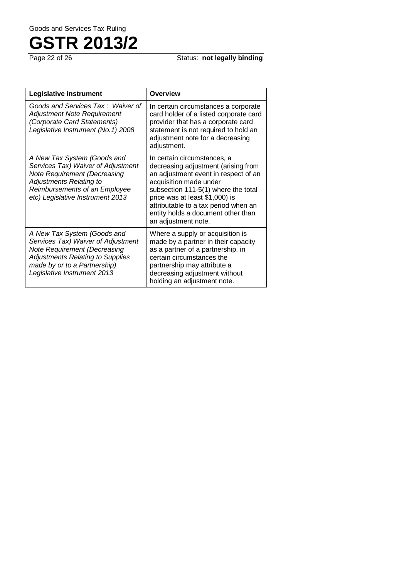**Status: not legally binding** 

| Legislative instrument                                                                                                                                                                                      | Overview                                                                                                                                                                                                                                                                                                           |
|-------------------------------------------------------------------------------------------------------------------------------------------------------------------------------------------------------------|--------------------------------------------------------------------------------------------------------------------------------------------------------------------------------------------------------------------------------------------------------------------------------------------------------------------|
| Goods and Services Tax: Waiver of<br>Adjustment Note Requirement<br>(Corporate Card Statements)<br>Legislative Instrument (No. 1) 2008                                                                      | In certain circumstances a corporate<br>card holder of a listed corporate card<br>provider that has a corporate card<br>statement is not required to hold an<br>adjustment note for a decreasing<br>adjustment.                                                                                                    |
| A New Tax System (Goods and<br>Services Tax) Waiver of Adjustment<br>Note Requirement (Decreasing<br><b>Adjustments Relating to</b><br>Reimbursements of an Employee<br>etc) Legislative Instrument 2013    | In certain circumstances, a<br>decreasing adjustment (arising from<br>an adjustment event in respect of an<br>acquisition made under<br>subsection 111-5(1) where the total<br>price was at least \$1,000) is<br>attributable to a tax period when an<br>entity holds a document other than<br>an adjustment note. |
| A New Tax System (Goods and<br>Services Tax) Waiver of Adjustment<br>Note Requirement (Decreasing<br><b>Adjustments Relating to Supplies</b><br>made by or to a Partnership)<br>Legislative Instrument 2013 | Where a supply or acquisition is<br>made by a partner in their capacity<br>as a partner of a partnership, in<br>certain circumstances the<br>partnership may attribute a<br>decreasing adjustment without<br>holding an adjustment note.                                                                           |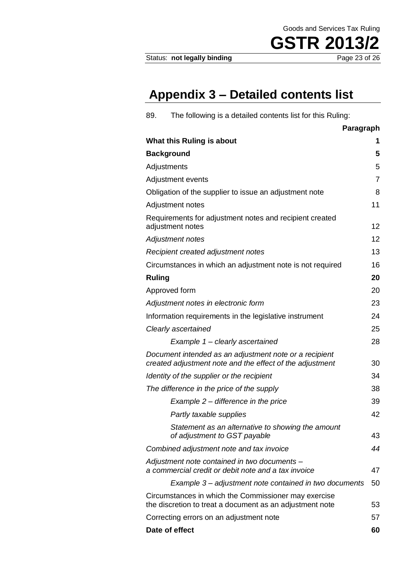Goods and Services Tax Ruling

## **Appendix 3 – Detailed contents list**

| 89.           | The following is a detailed contents list for this Ruling:                                                         |                |
|---------------|--------------------------------------------------------------------------------------------------------------------|----------------|
|               |                                                                                                                    | Paragraph      |
|               | What this Ruling is about                                                                                          | 1              |
|               | <b>Background</b>                                                                                                  | 5              |
|               | Adjustments                                                                                                        | 5              |
|               | Adjustment events                                                                                                  | $\overline{7}$ |
|               | Obligation of the supplier to issue an adjustment note                                                             | 8              |
|               | Adjustment notes                                                                                                   | 11             |
|               | Requirements for adjustment notes and recipient created<br>adjustment notes                                        | 12             |
|               | <b>Adjustment notes</b>                                                                                            | 12             |
|               | Recipient created adjustment notes                                                                                 | 13             |
|               | Circumstances in which an adjustment note is not required                                                          | 16             |
| <b>Ruling</b> |                                                                                                                    | 20             |
|               | Approved form                                                                                                      | 20             |
|               | Adjustment notes in electronic form                                                                                | 23             |
|               | Information requirements in the legislative instrument                                                             | 24             |
|               | Clearly ascertained                                                                                                | 25             |
|               | Example 1 - clearly ascertained                                                                                    | 28             |
|               | Document intended as an adjustment note or a recipient<br>created adjustment note and the effect of the adjustment | 30             |
|               | Identity of the supplier or the recipient                                                                          | 34             |
|               | The difference in the price of the supply                                                                          | 38             |
|               | Example $2$ – difference in the price                                                                              | 39             |
|               | Partly taxable supplies                                                                                            | 42             |
|               | Statement as an alternative to showing the amount<br>of adjustment to GST payable                                  | 43             |
|               | Combined adjustment note and tax invoice                                                                           | 44             |
|               | Adjustment note contained in two documents -<br>a commercial credit or debit note and a tax invoice                | 47             |
|               | Example 3 – adjustment note contained in two documents                                                             | 50             |
|               | Circumstances in which the Commissioner may exercise<br>the discretion to treat a document as an adjustment note   | 53             |
|               | Correcting errors on an adjustment note                                                                            | 57             |
|               | Date of effect                                                                                                     | 60             |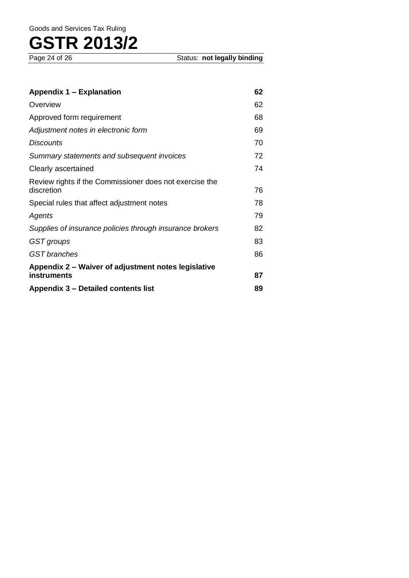**Status: not legally binding** 

| <b>Appendix 1 - Explanation</b>                                       | 62 |
|-----------------------------------------------------------------------|----|
| Overview                                                              | 62 |
| Approved form requirement                                             | 68 |
| Adjustment notes in electronic form                                   | 69 |
| Discounts                                                             | 70 |
| Summary statements and subsequent invoices                            | 72 |
| Clearly ascertained                                                   | 74 |
| Review rights if the Commissioner does not exercise the<br>discretion | 76 |
| Special rules that affect adjustment notes                            | 78 |
| Agents                                                                | 79 |
| Supplies of insurance policies through insurance brokers              | 82 |
| GST groups                                                            | 83 |
| <b>GST</b> branches                                                   | 86 |
| Appendix 2 – Waiver of adjustment notes legislative                   |    |
| instruments                                                           | 87 |
| Appendix 3 – Detailed contents list                                   | 89 |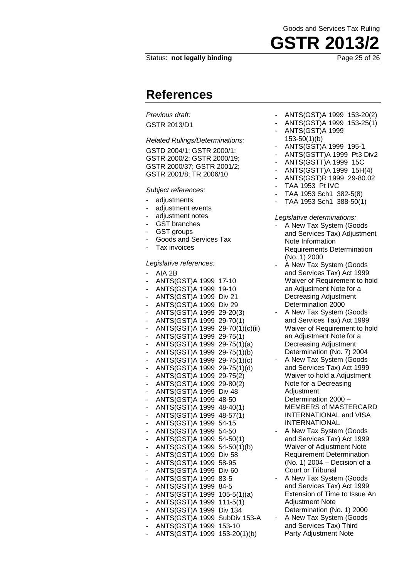### **References**

*Previous draft:* 

GSTR 2013/D1

*Related Rulings/Determinations:* 

GSTD 2004/1; GSTR 2000/1; GSTR 2000/2; GSTR 2000/19; GSTR 2000/37; GSTR 2001/2; GSTR 2001/8; TR 2006/10

#### *Subject references:*

- adjustments
- adiustment events
- adiustment notes
- GST branches
- GST groups
- Goods and Services Tax
- Tax invoices

#### *Legislative references:*

- AIA 2B - ANTS(GST)A 1999 17-10 - ANTS(GST)A 1999 19-10 - ANTS(GST)A 1999 Div 21 - ANTS(GST)A 1999 Div 29 - ANTS(GST)A 1999 29-20(3) - ANTS(GST)A 1999 29-70(1) - ANTS(GST)A 1999 29-70(1)(c)(ii) - ANTS(GST)A 1999 29-75(1) - ANTS(GST)A 1999 29-75(1)(a) - ANTS(GST)A 1999 29-75(1)(b) - ANTS(GST)A 1999 29-75(1)(c) - ANTS(GST)A 1999 29-75(1)(d) - ANTS(GST)A 1999 29-75(2) - ANTS(GST)A 1999 29-80(2) - ANTS(GST)A 1999 Div 48 - ANTS(GST)A 1999 48-50 - ANTS(GST)A 1999 48-40(1) - ANTS(GST)A 1999 48-57(1) - ANTS(GST)A 1999 54-15 - ANTS(GST)A 1999 54-50 - ANTS(GST)A 1999 54-50(1) - ANTS(GST)A 1999 54-50(1)(b) - ANTS(GST)A 1999 Div 58 - ANTS(GST)A 1999 58-95 - ANTS(GST)A 1999 Div 60 - ANTS(GST)A 1999 83-5 - ANTS(GST)A 1999 84-5 - ANTS(GST)A 1999 105-5(1)(a) - ANTS(GST)A 1999 111-5(1) - ANTS(GST)A 1999 Div 134 - ANTS(GST)A 1999 SubDiv 153-A - ANTS(GST)A 1999 153-10 - ANTS(GST)A 1999 153-20(1)(b)

- ANTS(GST)A 1999 153-20(2)
- ANTS(GST)A 1999 153-25(1)
- ANTS(GST)A 1999 153-50(1)(b)
	- ANTS(GST)A 1999 195-1
- ANTS(GSTT)A 1999 Pt3 Div2
- ANTS(GSTT)A 1999 15C
- ANTS(GSTT)A 1999 15H(4)
- ANTS(GST)R 1999 29-80.02
- TAA 1953 Pt IVC
- TAA 1953 Sch1 382-5(8)
- TAA 1953 Sch1 388-50(1)

#### *Legislative determinations:*

- A New Tax System (Goods and Services Tax) Adjustment Note Information Requirements Determination (No. 1) 2000
- A New Tax System (Goods and Services Tax) Act 1999 Waiver of Requirement to hold an Adjustment Note for a Decreasing Adjustment Determination 2000
- A New Tax System (Goods and Services Tax) Act 1999 Waiver of Requirement to hold an Adjustment Note for a Decreasing Adjustment Determination (No. 7) 2004
- A New Tax System (Goods and Services Tax) Act 1999 Waiver to hold a Adjustment Note for a Decreasing Adjustment Determination 2000 – MEMBERS of MASTERCARD INTERNATIONAL and VISA INTERNATIONAL
- A New Tax System (Goods and Services Tax) Act 1999 Waiver of Adjustment Note Requirement Determination (No. 1) 2004 – Decision of a Court or Tribunal
- A New Tax System (Goods and Services Tax) Act 1999 Extension of Time to Issue An Adjustment Note Determination (No. 1) 2000
- A New Tax System (Goods and Services Tax) Third Party Adjustment Note

Goods and Services Tax Ruling